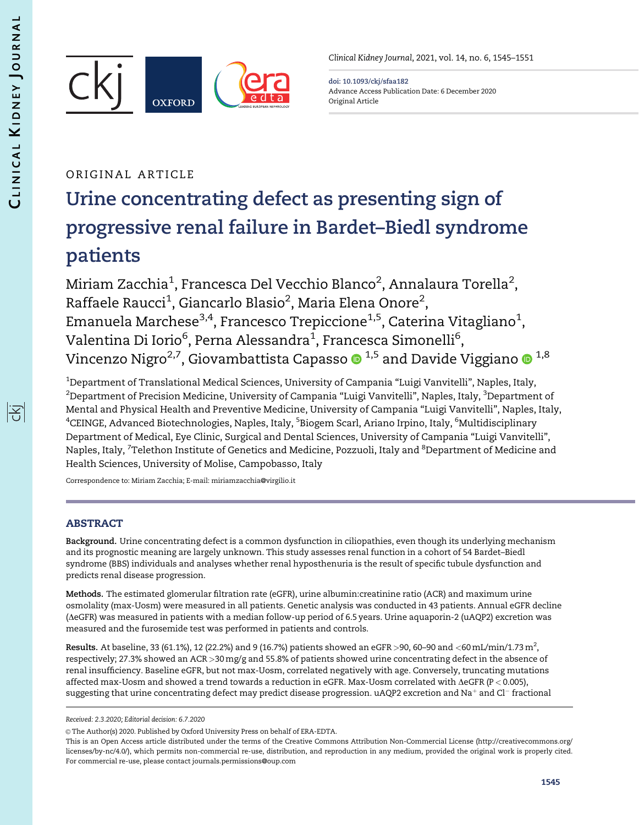序



Clinical Kidney Journal, 2021, vol. 14, no. 6, 1545–1551

doi: 10.1093/ckj/sfaa182 Advance Access Publication Date: 6 December 2020 Original Article

# ORIGINAL ARTICLE

# Urine concentrating defect as presenting sign of progressive renal failure in Bardet–Biedl syndrome patients

Miriam Zacchia $^1$ , Francesca Del Vecchio Blanco $^2$ , Annalaura Torella $^2$ , Raffaele Raucci<sup>1</sup>, Giancarlo Blasio<sup>2</sup>, Maria Elena Onore<sup>2</sup>, Emanuela Marchese $^{\rm 3,4}$ , Francesco Trepiccione $^{\rm 1,5}$ , Caterina Vitagliano $^{\rm 1}$ , Valentina Di Iorio $^6$ , Perna Alessandra $^1$ , Francesca Simonelli $^6$ , Vincenzo Nigro<sup>2,7</sup>, Giovambattista Capasso  $\bullet$  <sup>1,5</sup> and Davide Viggiano  $\bullet$  <sup>1,8</sup>

 $^{\rm 1}$ Department of Translational Medical Sciences, University of Campania "Luigi Vanvitelli", Naples, Italy,  $^2$ Department of Precision Medicine, University of Campania "Luigi Vanvitelli", Naples, Italy,  $^3$ Department of Mental and Physical Health and Preventive Medicine, University of Campania "Luigi Vanvitelli", Naples, Italy, <sup>4</sup>CEINGE, Advanced Biotechnologies, Naples, Italy, <sup>5</sup>Biogem Scarl, Ariano Irpino, Italy, <sup>6</sup>Multidisciplinary Department of Medical, Eye Clinic, Surgical and Dental Sciences, University of Campania "Luigi Vanvitelli", Naples, Italy, <sup>7</sup>Telethon Institute of Genetics and Medicine, Pozzuoli, Italy and <sup>8</sup>Department of Medicine and Health Sciences, University of Molise, Campobasso, Italy

Correspondence to: Miriam Zacchia; E-mail: miriamzacchia@virgilio.it

# ABSTRACT

Background. Urine concentrating defect is a common dysfunction in ciliopathies, even though its underlying mechanism and its prognostic meaning are largely unknown. This study assesses renal function in a cohort of 54 Bardet–Biedl syndrome (BBS) individuals and analyses whether renal hyposthenuria is the result of specific tubule dysfunction and predicts renal disease progression.

Methods. The estimated glomerular filtration rate (eGFR), urine albumin:creatinine ratio (ACR) and maximum urine osmolality (max-Uosm) were measured in all patients. Genetic analysis was conducted in 43 patients. Annual eGFR decline (AeGFR) was measured in patients with a median follow-up period of 6.5 years. Urine aquaporin-2 (uAQP2) excretion was measured and the furosemide test was performed in patients and controls.

**Results.** At baseline, 33 (61.1%), 12 (22.2%) and 9 (16.7%) patients showed an eGFR >90, 60–90 and <60 mL/min/1.73 m<sup>2</sup>, respectively; 27.3% showed an ACR >30 mg/g and 55.8% of patients showed urine concentrating defect in the absence of renal insufficiency. Baseline eGFR, but not max-Uosm, correlated negatively with age. Conversely, truncating mutations affected max-Uosm and showed a trend towards a reduction in eGFR. Max-Uosm correlated with  $\Delta$ eGFR (P < 0.005), suggesting that urine concentrating defect may predict disease progression.  $uAQP$ 2 excretion and  $Na^+$  and  $Cl^-$  fractional

Received: 2.3.2020; Editorial decision: 6.7.2020

 $\odot$  The Author(s) 2020. Published by Oxford University Press on behalf of ERA-EDTA.

This is an Open Access article distributed under the terms of the Creative Commons Attribution Non-Commercial License (http://creativecommons.org/ licenses/by-nc/4.0/), which permits non-commercial re-use, distribution, and reproduction in any medium, provided the original work is properly cited. For commercial re-use, please contact journals.permissions@oup.com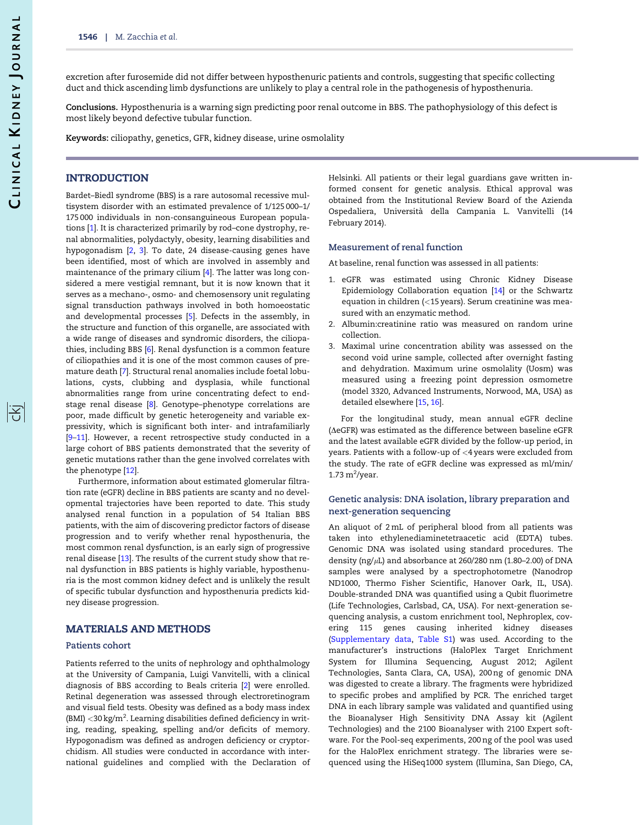阁

<span id="page-1-0"></span>excretion after furosemide did not differ between hyposthenuric patients and controls, suggesting that specific collecting duct and thick ascending limb dysfunctions are unlikely to play a central role in the pathogenesis of hyposthenuria.

Conclusions. Hyposthenuria is a warning sign predicting poor renal outcome in BBS. The pathophysiology of this defect is most likely beyond defective tubular function.

Keywords: ciliopathy, genetics, GFR, kidney disease, urine osmolality

# INTRODUCTION

Bardet–Biedl syndrome (BBS) is a rare autosomal recessive multisystem disorder with an estimated prevalence of 1/125 000–1/ 175 000 individuals in non-consanguineous European populations [[1](#page-6-0)]. It is characterized primarily by rod–cone dystrophy, renal abnormalities, polydactyly, obesity, learning disabilities and hypogonadism [[2,](#page-6-0) [3\]](#page-6-0). To date, 24 disease-causing genes have been identified, most of which are involved in assembly and maintenance of the primary cilium [[4](#page-6-0)]. The latter was long considered a mere vestigial remnant, but it is now known that it serves as a mechano-, osmo- and chemosensory unit regulating signal transduction pathways involved in both homoeostatic and developmental processes [[5\]](#page-6-0). Defects in the assembly, in the structure and function of this organelle, are associated with a wide range of diseases and syndromic disorders, the ciliopathies, including BBS [[6](#page-6-0)]. Renal dysfunction is a common feature of ciliopathies and it is one of the most common causes of premature death [[7](#page-6-0)]. Structural renal anomalies include foetal lobulations, cysts, clubbing and dysplasia, while functional abnormalities range from urine concentrating defect to endstage renal disease [[8](#page-6-0)]. Genotype–phenotype correlations are poor, made difficult by genetic heterogeneity and variable expressivity, which is significant both inter- and intrafamiliarly [\[9–11\]](#page-6-0). However, a recent retrospective study conducted in a large cohort of BBS patients demonstrated that the severity of genetic mutations rather than the gene involved correlates with the phenotype [[12\]](#page-6-0).

Furthermore, information about estimated glomerular filtration rate (eGFR) decline in BBS patients are scanty and no developmental trajectories have been reported to date. This study analysed renal function in a population of 54 Italian BBS patients, with the aim of discovering predictor factors of disease progression and to verify whether renal hyposthenuria, the most common renal dysfunction, is an early sign of progressive renal disease [[13\]](#page-6-0). The results of the current study show that renal dysfunction in BBS patients is highly variable, hyposthenuria is the most common kidney defect and is unlikely the result of specific tubular dysfunction and hyposthenuria predicts kidney disease progression.

# MATERIALS AND METHODS

#### Patients cohort

Patients referred to the units of nephrology and ophthalmology at the University of Campania, Luigi Vanvitelli, with a clinical diagnosis of BBS according to Beals criteria [[2\]](#page-6-0) were enrolled. Retinal degeneration was assessed through electroretinogram and visual field tests. Obesity was defined as a body mass index (BMI)  $<$  30 kg/m<sup>2</sup>. Learning disabilities defined deficiency in writing, reading, speaking, spelling and/or deficits of memory. Hypogonadism was defined as androgen deficiency or cryptorchidism. All studies were conducted in accordance with international guidelines and complied with the Declaration of Helsinki. All patients or their legal guardians gave written informed consent for genetic analysis. Ethical approval was obtained from the Institutional Review Board of the Azienda Ospedaliera, Universita` della Campania L. Vanvitelli (14 February 2014).

#### Measurement of renal function

At baseline, renal function was assessed in all patients:

- 1. eGFR was estimated using Chronic Kidney Disease Epidemiology Collaboration equation [\[14\]](#page-6-0) or the Schwartz equation in children (<15 years). Serum creatinine was measured with an enzymatic method.
- 2. Albumin:creatinine ratio was measured on random urine collection.
- 3. Maximal urine concentration ability was assessed on the second void urine sample, collected after overnight fasting and dehydration. Maximum urine osmolality (Uosm) was measured using a freezing point depression osmometre (model 3320, Advanced Instruments, Norwood, MA, USA) as detailed elsewhere [[15](#page-6-0), [16](#page-6-0)].

For the longitudinal study, mean annual eGFR decline ( $\triangle$ eGFR) was estimated as the difference between baseline eGFR and the latest available eGFR divided by the follow-up period, in years. Patients with a follow-up of <4 years were excluded from the study. The rate of eGFR decline was expressed as ml/min/  $1.73 \text{ m}^2$ /year.

#### Genetic analysis: DNA isolation, library preparation and next-generation sequencing

An aliquot of 2 mL of peripheral blood from all patients was taken into ethylenediaminetetraacetic acid (EDTA) tubes. Genomic DNA was isolated using standard procedures. The density (ng/ $\mu$ L) and absorbance at 260/280 nm (1.80–2.00) of DNA samples were analysed by a spectrophotometre (Nanodrop ND1000, Thermo Fisher Scientific, Hanover Oark, IL, USA). Double-stranded DNA was quantified using a Qubit fluorimetre (Life Technologies, Carlsbad, CA, USA). For next-generation sequencing analysis, a custom enrichment tool, Nephroplex, covering 115 genes causing inherited kidney diseases [\(Supplementary data,](https://academic.oup.com/ckj/article-lookup/doi/10.1093/ckj/sfaa182#supplementary-data) [Table S1](https://academic.oup.com/ckj/article-lookup/doi/10.1093/ckj/sfaa182#supplementary-data)) was used. According to the manufacturer's instructions (HaloPlex Target Enrichment System for Illumina Sequencing, August 2012; Agilent Technologies, Santa Clara, CA, USA), 200 ng of genomic DNA was digested to create a library. The fragments were hybridized to specific probes and amplified by PCR. The enriched target DNA in each library sample was validated and quantified using the Bioanalyser High Sensitivity DNA Assay kit (Agilent Technologies) and the 2100 Bioanalyser with 2100 Expert software. For the Pool-seq experiments, 200 ng of the pool was used for the HaloPlex enrichment strategy. The libraries were sequenced using the HiSeq1000 system (Illumina, San Diego, CA,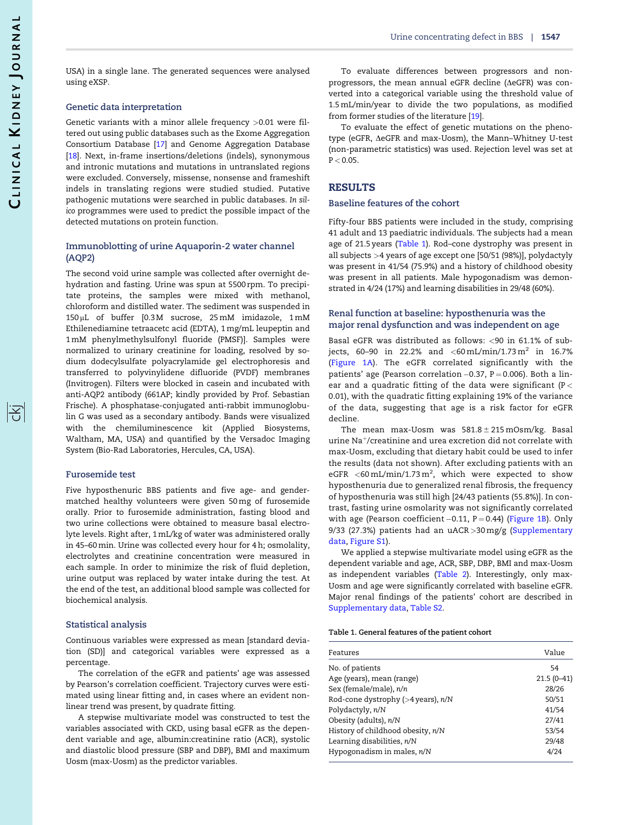序

<span id="page-2-0"></span>USA) in a single lane. The generated sequences were analysed using eXSP.

#### Genetic data interpretation

Genetic variants with a minor allele frequency >0.01 were filtered out using public databases such as the Exome Aggregation Consortium Database [[17](#page-6-0)] and Genome Aggregation Database [\[18\]](#page-6-0). Next, in-frame insertions/deletions (indels), synonymous and intronic mutations and mutations in untranslated regions were excluded. Conversely, missense, nonsense and frameshift indels in translating regions were studied studied. Putative pathogenic mutations were searched in public databases. In silico programmes were used to predict the possible impact of the detected mutations on protein function.

#### Immunoblotting of urine Aquaporin-2 water channel (AQP2)

The second void urine sample was collected after overnight dehydration and fasting. Urine was spun at 5500 rpm. To precipitate proteins, the samples were mixed with methanol, chloroform and distilled water. The sediment was suspended in 150 µL of buffer [0.3M sucrose, 25 mM imidazole, 1 mM Ethilenediamine tetraacetc acid (EDTA), 1 mg/mL leupeptin and 1 mM phenylmethylsulfonyl fluoride (PMSF)]. Samples were normalized to urinary creatinine for loading, resolved by sodium dodecylsulfate polyacrylamide gel electrophoresis and transferred to polyvinylidene difluoride (PVDF) membranes (Invitrogen). Filters were blocked in casein and incubated with anti-AQP2 antibody (661AP; kindly provided by Prof. Sebastian Frische). A phosphatase-conjugated anti-rabbit immunoglobulin G was used as a secondary antibody. Bands were visualized with the chemiluminescence kit (Applied Biosystems, Waltham, MA, USA) and quantified by the Versadoc Imaging System (Bio-Rad Laboratories, Hercules, CA, USA).

#### Furosemide test

Five hyposthenuric BBS patients and five age- and gendermatched healthy volunteers were given 50 mg of furosemide orally. Prior to furosemide administration, fasting blood and two urine collections were obtained to measure basal electrolyte levels. Right after, 1 mL/kg of water was administered orally in 45–60 min. Urine was collected every hour for 4 h; osmolality, electrolytes and creatinine concentration were measured in each sample. In order to minimize the risk of fluid depletion, urine output was replaced by water intake during the test. At the end of the test, an additional blood sample was collected for biochemical analysis.

#### Statistical analysis

Continuous variables were expressed as mean [standard deviation (SD)] and categorical variables were expressed as a percentage.

The correlation of the eGFR and patients' age was assessed by Pearson's correlation coefficient. Trajectory curves were estimated using linear fitting and, in cases where an evident nonlinear trend was present, by quadrate fitting.

A stepwise multivariate model was constructed to test the variables associated with CKD, using basal eGFR as the dependent variable and age, albumin:creatinine ratio (ACR), systolic and diastolic blood pressure (SBP and DBP), BMI and maximum Uosm (max-Uosm) as the predictor variables.

To evaluate differences between progressors and nonprogressors, the mean annual eGFR decline ( $\triangle$ eGFR) was converted into a categorical variable using the threshold value of 1.5 mL/min/year to divide the two populations, as modified from former studies of the literature [[19\]](#page-6-0).

To evaluate the effect of genetic mutations on the phenotype (eGFR,  $\triangle$ eGFR and max-Uosm), the Mann-Whitney U-test (non-parametric statistics) was used. Rejection level was set at  $P < 0.05$ .

## RESULTS

#### Baseline features of the cohort

Fifty-four BBS patients were included in the study, comprising 41 adult and 13 paediatric individuals. The subjects had a mean age of 21.5 years (Table 1). Rod–cone dystrophy was present in all subjects >4 years of age except one [50/51 (98%)], polydactyly was present in 41/54 (75.9%) and a history of childhood obesity was present in all patients. Male hypogonadism was demonstrated in 4/24 (17%) and learning disabilities in 29/48 (60%).

## Renal function at baseline: hyposthenuria was the major renal dysfunction and was independent on age

Basal eGFR was distributed as follows: <90 in 61.1% of subjects, 60-90 in 22.2% and <60 mL/min/1.73 m<sup>2</sup> in 16.7% ([Figure 1A](#page-3-0)). The eGFR correlated significantly with the patients' age (Pearson correlation –0.37, P = 0.006). Both a linear and a quadratic fitting of the data were significant (P  $<$ 0.01), with the quadratic fitting explaining 19% of the variance of the data, suggesting that age is a risk factor for eGFR decline.

The mean max-Uosm was  $581.8 \pm 215$  mOsm/kg. Basal urine  $\text{Na}^+$ /creatinine and urea excretion did not correlate with max-Uosm, excluding that dietary habit could be used to infer the results (data not shown). After excluding patients with an eGFR <60 mL/min/1.73 m<sup>2</sup>, which were expected to show hyposthenuria due to generalized renal fibrosis, the frequency of hyposthenuria was still high [24/43 patients (55.8%)]. In contrast, fasting urine osmolarity was not significantly correlated with age (Pearson coefficient $-0.11$ , P $=$  0.44) ([Figure 1B](#page-3-0)). Only 9/33 (27.3%) patients had an uACR  $>$  30 mg/g [\(Supplementary](https://academic.oup.com/ckj/article-lookup/doi/10.1093/ckj/sfaa182#supplementary-data) [data,](https://academic.oup.com/ckj/article-lookup/doi/10.1093/ckj/sfaa182#supplementary-data) [Figure S1\)](https://academic.oup.com/ckj/article-lookup/doi/10.1093/ckj/sfaa182#supplementary-data).

We applied a stepwise multivariate model using eGFR as the dependent variable and age, ACR, SBP, DBP, BMI and max-Uosm as independent variables ([Table 2](#page-3-0)). Interestingly, only max-Uosm and age were significantly correlated with baseline eGFR. Major renal findings of the patients' cohort are described in [Supplementary data,](https://academic.oup.com/ckj/article-lookup/doi/10.1093/ckj/sfaa182#supplementary-data) [Table S2](https://academic.oup.com/ckj/article-lookup/doi/10.1093/ckj/sfaa182#supplementary-data).

Table 1. General features of the patient cohort

| Features                                | Value        |
|-----------------------------------------|--------------|
| No. of patients                         | 54           |
| Age (years), mean (range)               | $21.5(0-41)$ |
| Sex (female/male), n/n                  | 28/26        |
| Rod-cone dystrophy ( $>4$ years), $n/N$ | 50/51        |
| Polydactyly, n/N                        | 41/54        |
| Obesity (adults), n/N                   | 27/41        |
| History of childhood obesity, n/N       | 53/54        |
| Learning disabilities, n/N              | 29/48        |
| Hypogonadism in males, $n/N$            | 4/24         |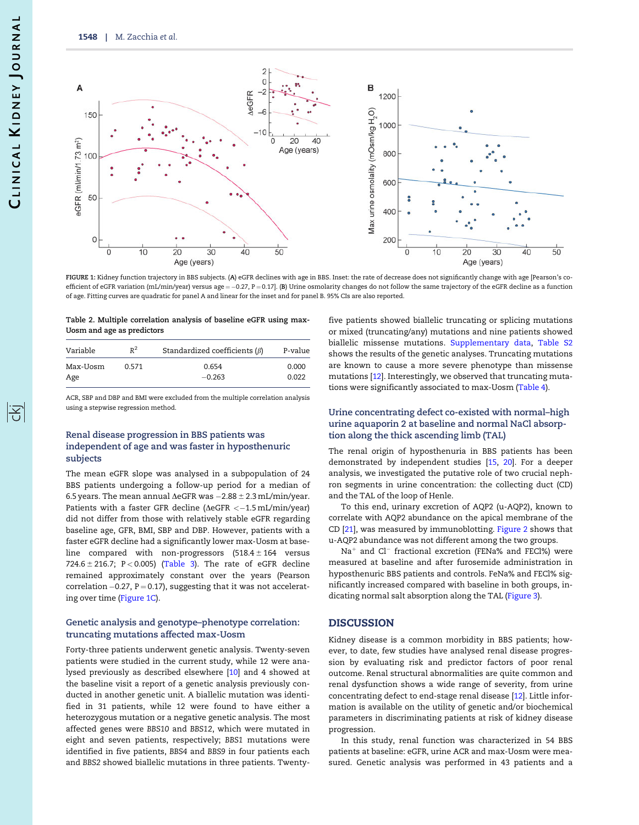<span id="page-3-0"></span>

FIGURE 1: Kidney function trajectory in BBS subjects. (A) eGFR declines with age in BBS. Inset: the rate of decrease does not significantly change with age [Pearson's coefficient of eGFR variation (mL/min/year) versus age=—0.27, P=0.17]. (**B**) Urine osmolarity changes do not follow the same trajectory of the eGFR decline as a function of age. Fitting curves are quadratic for panel A and linear for the inset and for panel B. 95% CIs are also reported.

#### Table 2. Multiple correlation analysis of baseline eGFR using max-Uosm and age as predictors

| Variable | $R^2$        | Standardized coefficients $(\beta)$ | P-value |
|----------|--------------|-------------------------------------|---------|
| Max-Uosm | <u>በ 571</u> | 0.654                               | 0.000   |
| Age      |              | $-0.263$                            | 0.022   |

ACR, SBP and DBP and BMI were excluded from the multiple correlation analysis using a stepwise regression method.

## Renal disease progression in BBS patients was independent of age and was faster in hyposthenuric subjects

The mean eGFR slope was analysed in a subpopulation of 24 BBS patients undergoing a follow-up period for a median of 6.5 years. The mean annual ∆eGFR was  $-2.88\pm2.3$  mL/min/year. Patients with a faster GFR decline (∆eGFR <–1.5 mL/min/year) did not differ from those with relatively stable eGFR regarding baseline age, GFR, BMI, SBP and DBP. However, patients with a faster eGFR decline had a significantly lower max-Uosm at baseline compared with non-progressors  $(518.4 \pm 164$  versus 724.6  $\pm$  216.7; P < 0.005) [\(Table 3\)](#page-4-0). The rate of eGFR decline remained approximately constant over the years (Pearson correlation –0.27, P  $=$  0.17), suggesting that it was not accelerating over time (Figure 1C).

#### Genetic analysis and genotype–phenotype correlation: truncating mutations affected max-Uosm

Forty-three patients underwent genetic analysis. Twenty-seven patients were studied in the current study, while 12 were analysed previously as described elsewhere [[10\]](#page-6-0) and 4 showed at the baseline visit a report of a genetic analysis previously conducted in another genetic unit. A biallelic mutation was identified in 31 patients, while 12 were found to have either a heterozygous mutation or a negative genetic analysis. The most affected genes were BBS10 and BBS12, which were mutated in eight and seven patients, respectively; BBS1 mutations were identified in five patients, BBS4 and BBS9 in four patients each and BBS2 showed biallelic mutations in three patients. Twentyfive patients showed biallelic truncating or splicing mutations or mixed (truncating/any) mutations and nine patients showed biallelic missense mutations. [Supplementary data](https://academic.oup.com/ckj/article-lookup/doi/10.1093/ckj/sfaa182#supplementary-data), [Table S2](https://academic.oup.com/ckj/article-lookup/doi/10.1093/ckj/sfaa182#supplementary-data) shows the results of the genetic analyses. Truncating mutations are known to cause a more severe phenotype than missense mutations [\[12\]](#page-6-0). Interestingly, we observed that truncating mutations were significantly associated to max-Uosm ([Table 4](#page-4-0)).

#### Urine concentrating defect co-existed with normal–high urine aquaporin 2 at baseline and normal NaCl absorption along the thick ascending limb (TAL)

The renal origin of hyposthenuria in BBS patients has been demonstrated by independent studies [\[15](#page-6-0), [20\]](#page-6-0). For a deeper analysis, we investigated the putative role of two crucial nephron segments in urine concentration: the collecting duct (CD) and the TAL of the loop of Henle.

To this end, urinary excretion of AQP2 (u-AQP2), known to correlate with AQP2 abundance on the apical membrane of the CD [[21\]](#page-6-0), was measured by immunoblotting. [Figure 2](#page-4-0) shows that u-AQP2 abundance was not different among the two groups.

 $Na<sup>+</sup>$  and Cl<sup>-</sup> fractional excretion (FENa% and FECl%) were measured at baseline and after furosemide administration in hyposthenuric BBS patients and controls. FeNa% and FECl% significantly increased compared with baseline in both groups, indicating normal salt absorption along the TAL ([Figure 3](#page-4-0)).

#### **DISCUSSION**

Kidney disease is a common morbidity in BBS patients; however, to date, few studies have analysed renal disease progression by evaluating risk and predictor factors of poor renal outcome. Renal structural abnormalities are quite common and renal dysfunction shows a wide range of severity, from urine concentrating defect to end-stage renal disease [[12](#page-6-0)]. Little information is available on the utility of genetic and/or biochemical parameters in discriminating patients at risk of kidney disease progression.

In this study, renal function was characterized in 54 BBS patients at baseline: eGFR, urine ACR and max-Uosm were measured. Genetic analysis was performed in 43 patients and a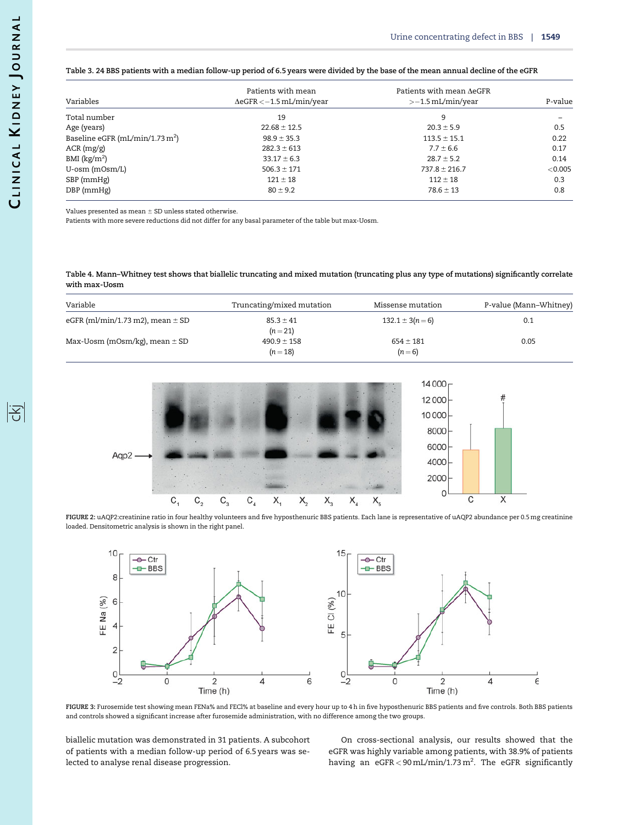<span id="page-4-0"></span>

|  |  | Table 3. 24 BBS patients with a median follow-up period of 6.5 years were divided by the base of the mean annual decline of the eGFR |
|--|--|--------------------------------------------------------------------------------------------------------------------------------------|
|  |  |                                                                                                                                      |

| Variables                         | Patients with mean<br>$\Delta$ eGFR < $-1.5$ mL/min/year | Patients with mean AeGFR<br>$>$ -1.5 mL/min/year | P-value |
|-----------------------------------|----------------------------------------------------------|--------------------------------------------------|---------|
|                                   |                                                          |                                                  |         |
| Total number                      | 19                                                       | 9                                                |         |
| Age (years)                       | $22.68 \pm 12.5$                                         | $20.3 \pm 5.9$                                   | 0.5     |
| Baseline eGFR (mL/min/1.73 $m2$ ) | $98.9 \pm 35.3$                                          | $113.5 \pm 15.1$                                 | 0.22    |
| $ACR$ (mg/g)                      | $282.3 \pm 613$                                          | $7.7 \pm 6.6$                                    | 0.17    |
| BMI $\rm(kg/m^2)$                 | $33.17 \pm 6.3$                                          | $28.7 \pm 5.2$                                   | 0.14    |
| U-osm (mOsm/L)                    | $506.3 \pm 171$                                          | $737.8 \pm 216.7$                                | < 0.005 |
| SBP (mmHg)                        | $121 \pm 18$                                             | $112 \pm 18$                                     | 0.3     |
| DBP (mmHg)                        | $80 \pm 9.2$                                             | $78.6 \pm 13$                                    | 0.8     |

Values presented as mean  $\pm$  SD unless stated otherwise.

Patients with more severe reductions did not differ for any basal parameter of the table but max-Uosm.

Table 4. Mann–Whitney test shows that biallelic truncating and mixed mutation (truncating plus any type of mutations) significantly correlate with max-Uosm

| Variable                             | Truncating/mixed mutation   | Missense mutation        | P-value (Mann-Whitney) |
|--------------------------------------|-----------------------------|--------------------------|------------------------|
| eGFR (ml/min/1.73 m2), mean $\pm$ SD | $85.3 \pm 41$<br>$(n=21)$   | $132.1 \pm 3(n=6)$       | 0.1                    |
| Max-Uosm (mOsm/kg), mean $\pm$ SD    | $490.9 \pm 158$<br>$(n=18)$ | $654 \pm 181$<br>$(n=6)$ | 0.05                   |



FIGURE 2: uAQP2:creatinine ratio in four healthy volunteers and five hyposthenuric BBS patients. Each lane is representative of uAQP2 abundance per 0.5 mg creatinine loaded. Densitometric analysis is shown in the right panel.



FIGURE 3: Furosemide test showing mean FENa% and FECl% at baseline and every hour up to 4 h in five hyposthenuric BBS patients and five controls. Both BBS patients and controls showed a significant increase after furosemide administration, with no difference among the two groups.

biallelic mutation was demonstrated in 31 patients. A subcohort of patients with a median follow-up period of 6.5 years was selected to analyse renal disease progression.

On cross-sectional analysis, our results showed that the eGFR was highly variable among patients, with 38.9% of patients having an  $eGFR < 90 \text{ mL/min}/1.73 \text{ m}^2$ . The  $eGFR$  significantly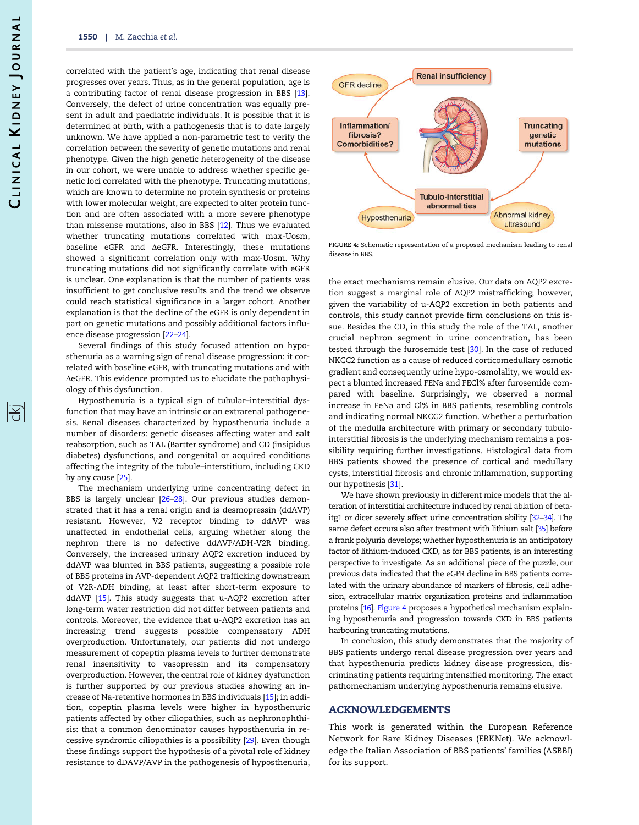<span id="page-5-0"></span>correlated with the patient's age, indicating that renal disease progresses over years. Thus, as in the general population, age is a contributing factor of renal disease progression in BBS [\[13\]](#page-6-0). Conversely, the defect of urine concentration was equally present in adult and paediatric individuals. It is possible that it is determined at birth, with a pathogenesis that is to date largely unknown. We have applied a non-parametric test to verify the correlation between the severity of genetic mutations and renal phenotype. Given the high genetic heterogeneity of the disease in our cohort, we were unable to address whether specific genetic loci correlated with the phenotype. Truncating mutations, which are known to determine no protein synthesis or proteins with lower molecular weight, are expected to alter protein function and are often associated with a more severe phenotype than missense mutations, also in BBS [[12\]](#page-6-0). Thus we evaluated whether truncating mutations correlated with max-Uosm, baseline eGFR and AeGFR. Interestingly, these mutations showed a significant correlation only with max-Uosm. Why truncating mutations did not significantly correlate with eGFR is unclear. One explanation is that the number of patients was insufficient to get conclusive results and the trend we observe could reach statistical significance in a larger cohort. Another explanation is that the decline of the eGFR is only dependent in part on genetic mutations and possibly additional factors influence disease progression [\[22–24\]](#page-6-0).

Several findings of this study focused attention on hyposthenuria as a warning sign of renal disease progression: it correlated with baseline eGFR, with truncating mutations and with  $\Delta$ eGFR. This evidence prompted us to elucidate the pathophysiology of this dysfunction.

Hyposthenuria is a typical sign of tubular–interstitial dysfunction that may have an intrinsic or an extrarenal pathogenesis. Renal diseases characterized by hyposthenuria include a number of disorders: genetic diseases affecting water and salt reabsorption, such as TAL (Bartter syndrome) and CD (insipidus diabetes) dysfunctions, and congenital or acquired conditions affecting the integrity of the tubule–interstitium, including CKD by any cause [\[25\]](#page-6-0).

The mechanism underlying urine concentrating defect in BBS is largely unclear [[26](#page-6-0)–[28](#page-6-0)]. Our previous studies demonstrated that it has a renal origin and is desmopressin (ddAVP) resistant. However, V2 receptor binding to ddAVP was unaffected in endothelial cells, arguing whether along the nephron there is no defective ddAVP/ADH-V2R binding. Conversely, the increased urinary AQP2 excretion induced by ddAVP was blunted in BBS patients, suggesting a possible role of BBS proteins in AVP-dependent AQP2 trafficking downstream of V2R-ADH binding, at least after short-term exposure to ddAVP [\[15](#page-6-0)]. This study suggests that u-AQP2 excretion after long-term water restriction did not differ between patients and controls. Moreover, the evidence that u-AQP2 excretion has an increasing trend suggests possible compensatory ADH overproduction. Unfortunately, our patients did not undergo measurement of copeptin plasma levels to further demonstrate renal insensitivity to vasopressin and its compensatory overproduction. However, the central role of kidney dysfunction is further supported by our previous studies showing an increase of Na-retentive hormones in BBS individuals [\[15\]](#page-6-0); in addition, copeptin plasma levels were higher in hyposthenuric patients affected by other ciliopathies, such as nephronophthisis: that a common denominator causes hyposthenuria in recessive syndromic ciliopathies is a possibility [[29\]](#page-6-0). Even though these findings support the hypothesis of a pivotal role of kidney resistance to dDAVP/AVP in the pathogenesis of hyposthenuria,



FIGURE 4: Schematic representation of a proposed mechanism leading to renal disease in BBS.

the exact mechanisms remain elusive. Our data on AQP2 excretion suggest a marginal role of AQP2 mistrafficking; however, given the variability of u-AQP2 excretion in both patients and controls, this study cannot provide firm conclusions on this issue. Besides the CD, in this study the role of the TAL, another crucial nephron segment in urine concentration, has been tested through the furosemide test [[30\]](#page-6-0). In the case of reduced NKCC2 function as a cause of reduced corticomedullary osmotic gradient and consequently urine hypo-osmolality, we would expect a blunted increased FENa and FECl% after furosemide compared with baseline. Surprisingly, we observed a normal increase in FeNa and Cl% in BBS patients, resembling controls and indicating normal NKCC2 function. Whether a perturbation of the medulla architecture with primary or secondary tubulointerstitial fibrosis is the underlying mechanism remains a possibility requiring further investigations. Histological data from BBS patients showed the presence of cortical and medullary cysts, interstitial fibrosis and chronic inflammation, supporting our hypothesis [\[31](#page-6-0)].

We have shown previously in different mice models that the alteration of interstitial architecture induced by renal ablation of betaitg1 or dicer severely affect urine concentration ability [\[32–34\]](#page-6-0). The same defect occurs also after treatment with lithium salt [[35](#page-6-0)] before a frank polyuria develops; whether hyposthenuria is an anticipatory factor of lithium-induced CKD, as for BBS patients, is an interesting perspective to investigate. As an additional piece of the puzzle, our previous data indicated that the eGFR decline in BBS patients correlated with the urinary abundance of markers of fibrosis, cell adhesion, extracellular matrix organization proteins and inflammation proteins [\[16\]](#page-6-0). Figure 4 proposes a hypothetical mechanism explaining hyposthenuria and progression towards CKD in BBS patients harbouring truncating mutations.

In conclusion, this study demonstrates that the majority of BBS patients undergo renal disease progression over years and that hyposthenuria predicts kidney disease progression, discriminating patients requiring intensified monitoring. The exact pathomechanism underlying hyposthenuria remains elusive.

# ACKNOWLEDGEMENTS

This work is generated within the European Reference Network for Rare Kidney Diseases (ERKNet). We acknowledge the Italian Association of BBS patients' families (ASBBI) for its support.

序